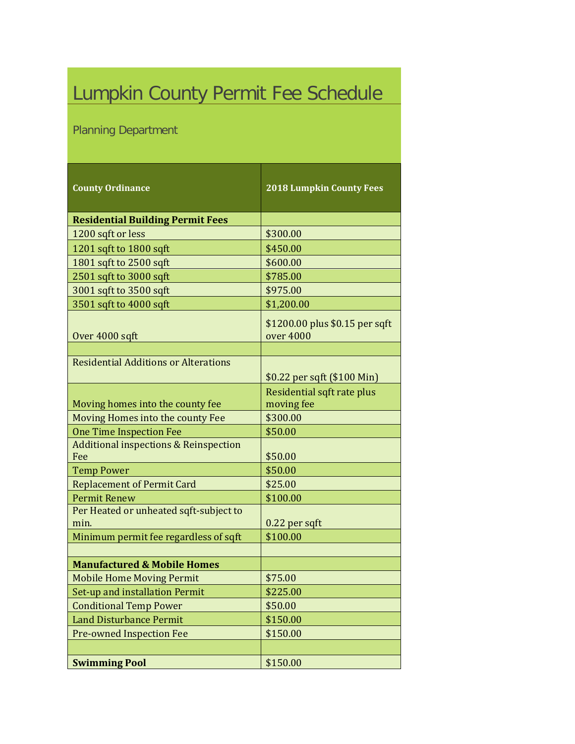## Lumpkin County Permit Fee Schedule

## Planning Department

| <b>County Ordinance</b>                                 | <b>2018 Lumpkin County Fees</b>             |
|---------------------------------------------------------|---------------------------------------------|
| <b>Residential Building Permit Fees</b>                 |                                             |
| 1200 sqft or less                                       | \$300.00                                    |
| 1201 sqft to 1800 sqft                                  | \$450.00                                    |
| 1801 sqft to 2500 sqft                                  | \$600.00                                    |
| 2501 sqft to 3000 sqft                                  | \$785.00                                    |
| 3001 sqft to 3500 sqft                                  | \$975.00                                    |
| 3501 sqft to 4000 sqft                                  | \$1,200.00                                  |
| Over 4000 sqft                                          | \$1200.00 plus \$0.15 per sqft<br>over 4000 |
|                                                         |                                             |
| <b>Residential Additions or Alterations</b>             | \$0.22 per sqft (\$100 Min)                 |
| Moving homes into the county fee                        | Residential sqft rate plus<br>moving fee    |
| Moving Homes into the county Fee                        | \$300.00                                    |
| <b>One Time Inspection Fee</b>                          | \$50.00                                     |
| <b>Additional inspections &amp; Reinspection</b><br>Fee | \$50.00                                     |
| <b>Temp Power</b>                                       | \$50.00                                     |
| <b>Replacement of Permit Card</b>                       | \$25.00                                     |
| <b>Permit Renew</b>                                     | \$100.00                                    |
| Per Heated or unheated sqft-subject to<br>min.          | 0.22 per sqft                               |
| Minimum permit fee regardless of sqft                   | \$100.00                                    |
|                                                         |                                             |
| <b>Manufactured &amp; Mobile Homes</b>                  |                                             |
| <b>Mobile Home Moving Permit</b>                        | \$75.00                                     |
| Set-up and installation Permit                          | \$225.00                                    |
| <b>Conditional Temp Power</b>                           | \$50.00                                     |
| <b>Land Disturbance Permit</b>                          | \$150.00                                    |
| <b>Pre-owned Inspection Fee</b>                         | \$150.00                                    |
|                                                         |                                             |
| <b>Swimming Pool</b>                                    | \$150.00                                    |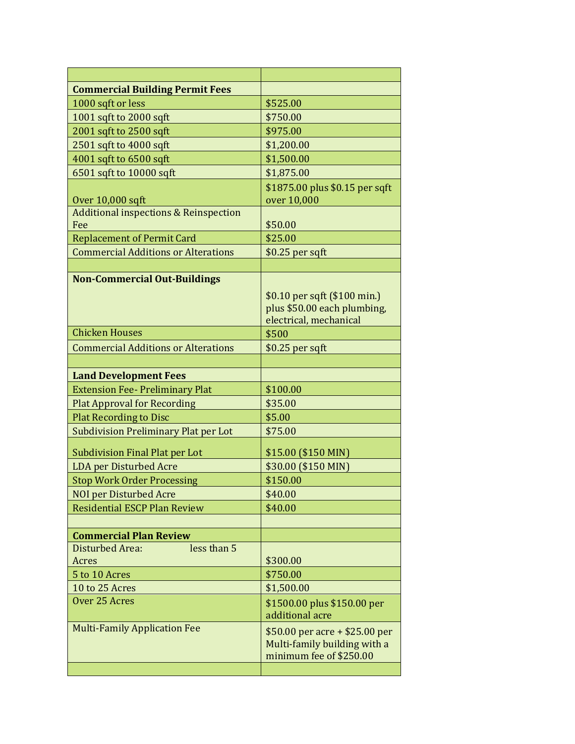| <b>Commercial Building Permit Fees</b>           |                                                         |
|--------------------------------------------------|---------------------------------------------------------|
| 1000 sqft or less                                | \$525.00                                                |
| 1001 sqft to 2000 sqft                           | \$750.00                                                |
| 2001 sqft to 2500 sqft                           | \$975.00                                                |
| 2501 sqft to 4000 sqft                           | \$1,200.00                                              |
| 4001 sqft to 6500 sqft                           | \$1,500.00                                              |
| 6501 sqft to 10000 sqft                          | \$1,875.00                                              |
|                                                  | \$1875.00 plus \$0.15 per sqft                          |
| Over 10,000 sqft                                 | over 10,000                                             |
| <b>Additional inspections &amp; Reinspection</b> |                                                         |
| Fee                                              | \$50.00                                                 |
| <b>Replacement of Permit Card</b>                | \$25.00                                                 |
| <b>Commercial Additions or Alterations</b>       | $$0.25$ per sqft                                        |
|                                                  |                                                         |
| <b>Non-Commercial Out-Buildings</b>              |                                                         |
|                                                  | \$0.10 per sqft (\$100 min.)                            |
|                                                  | plus \$50.00 each plumbing,                             |
| <b>Chicken Houses</b>                            | electrical, mechanical<br>\$500                         |
| <b>Commercial Additions or Alterations</b>       |                                                         |
|                                                  | $$0.25$ per sqft                                        |
| <b>Land Development Fees</b>                     |                                                         |
| <b>Extension Fee- Preliminary Plat</b>           | \$100.00                                                |
| <b>Plat Approval for Recording</b>               | \$35.00                                                 |
| <b>Plat Recording to Disc</b>                    | \$5.00                                                  |
| <b>Subdivision Preliminary Plat per Lot</b>      | \$75.00                                                 |
|                                                  |                                                         |
| <b>Subdivision Final Plat per Lot</b>            | \$15.00 (\$150 MIN)                                     |
| <b>LDA</b> per Disturbed Acre                    | \$30.00 (\$150 MIN)                                     |
| <b>Stop Work Order Processing</b>                | \$150.00                                                |
| <b>NOI per Disturbed Acre</b>                    | \$40.00                                                 |
| <b>Residential ESCP Plan Review</b>              | \$40.00                                                 |
|                                                  |                                                         |
| <b>Commercial Plan Review</b>                    |                                                         |
| Disturbed Area:<br>less than 5                   |                                                         |
| Acres                                            | \$300.00                                                |
| 5 to 10 Acres                                    | \$750.00                                                |
| 10 to 25 Acres<br>Over 25 Acres                  | \$1,500.00                                              |
|                                                  | \$1500.00 plus \$150.00 per                             |
| <b>Multi-Family Application Fee</b>              | additional acre                                         |
|                                                  | \$50.00 per acre + \$25.00 per                          |
|                                                  | Multi-family building with a<br>minimum fee of \$250.00 |
|                                                  |                                                         |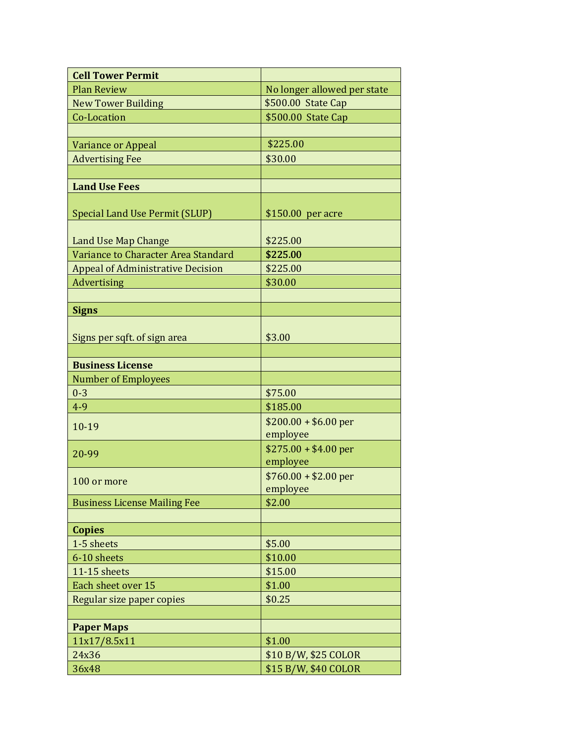| <b>Cell Tower Permit</b>                 |                                              |
|------------------------------------------|----------------------------------------------|
| <b>Plan Review</b>                       | No longer allowed per state                  |
| <b>New Tower Building</b>                | \$500.00 State Cap                           |
| Co-Location                              | \$500.00 State Cap                           |
|                                          |                                              |
| Variance or Appeal                       | \$225.00                                     |
| <b>Advertising Fee</b>                   | \$30.00                                      |
|                                          |                                              |
| <b>Land Use Fees</b>                     |                                              |
|                                          |                                              |
| Special Land Use Permit (SLUP)           | \$150.00 per acre                            |
|                                          |                                              |
| <b>Land Use Map Change</b>               | \$225.00                                     |
| Variance to Character Area Standard      | \$225.00                                     |
| <b>Appeal of Administrative Decision</b> | \$225.00                                     |
| Advertising                              | \$30.00                                      |
|                                          |                                              |
| <b>Signs</b>                             |                                              |
|                                          |                                              |
| Signs per sqft. of sign area             | \$3.00                                       |
|                                          |                                              |
| <b>Business License</b>                  |                                              |
| <b>Number of Employees</b>               |                                              |
| $0 - 3$                                  | \$75.00                                      |
| $4 - 9$                                  | \$185.00                                     |
| 10-19                                    | $$200.00 + $6.00$ per                        |
|                                          | employee                                     |
| 20-99                                    | $$275.00 + $4.00$ per                        |
|                                          | employee                                     |
| 100 or more                              | $$760.00 + $2.00$ per                        |
|                                          | employee                                     |
| <b>Business License Mailing Fee</b>      | \$2.00                                       |
|                                          |                                              |
| <b>Copies</b><br>1-5 sheets              | \$5.00                                       |
| 6-10 sheets                              | \$10.00                                      |
| 11-15 sheets                             | \$15.00                                      |
| Each sheet over 15                       | \$1.00                                       |
| Regular size paper copies                | \$0.25                                       |
|                                          |                                              |
| <b>Paper Maps</b>                        |                                              |
| 11x17/8.5x11                             | \$1.00                                       |
| 24x36                                    |                                              |
| 36x48                                    | \$10 B/W, \$25 COLOR<br>\$15 B/W, \$40 COLOR |
|                                          |                                              |